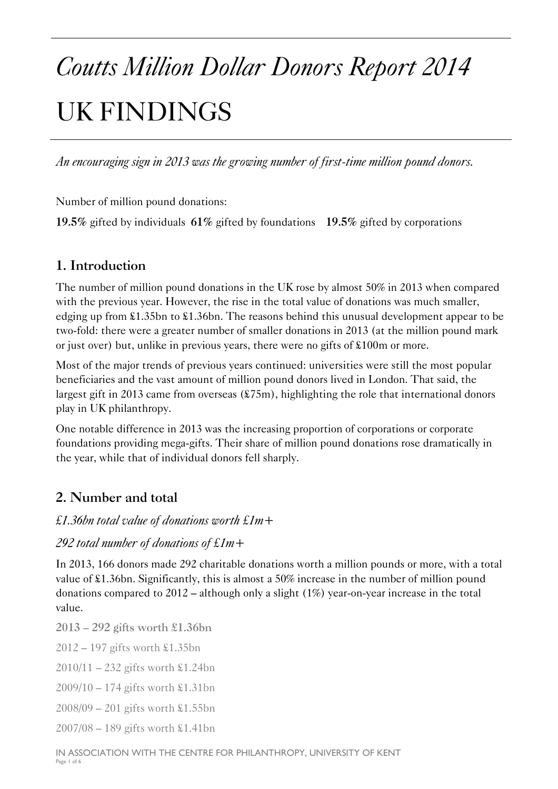# *Coutts Million Dollar Donors Report 2014*  UK FINDINGS

*An encouraging sign in 2013 was the growing number of first-time million pound donors.* 

Number of million pound donations:

**19.5%** gifted by individuals **61%** gifted by foundations **19.5%** gifted by corporations

# **1. Introduction**

The number of million pound donations in the UK rose by almost 50% in 2013 when compared with the previous year. However, the rise in the total value of donations was much smaller, edging up from £1.35bn to £1.36bn. The reasons behind this unusual development appear to be two-fold: there were a greater number of smaller donations in 2013 (at the million pound mark or just over) but, unlike in previous years, there were no gifts of £100m or more.

Most of the major trends of previous years continued: universities were still the most popular beneficiaries and the vast amount of million pound donors lived in London. That said, the largest gift in 2013 came from overseas (£75m), highlighting the role that international donors play in UK philanthropy.

One notable difference in 2013 was the increasing proportion of corporations or corporate foundations providing mega-gifts. Their share of million pound donations rose dramatically in the year, while that of individual donors fell sharply.

# **2. Number and total**

#### *£1.36bn total value of donations worth £1m+*

#### *292 total number of donations of £1m+*

In 2013, 166 donors made 292 charitable donations worth a million pounds or more, with a total value of £1.36bn. Significantly, this is almost a 50% increase in the number of million pound donations compared to 2012 – although only a slight (1%) year-on-year increase in the total value.

**2013 – 292 gifts worth £1.36bn** 

2012 – 197 gifts worth £1.35bn

2010/11 – 232 gifts worth £1.24bn

2009/10 – 174 gifts worth £1.31bn

2008/09 – 201 gifts worth £1.55bn

2007/08 – 189 gifts worth £1.41bn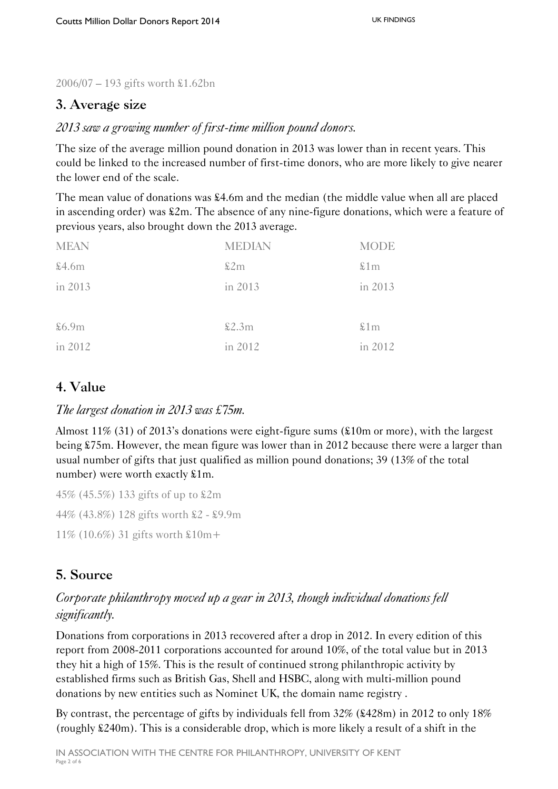2006/07 – 193 gifts worth £1.62bn

# **3. Average size**

*2013 saw a growing number of first-time million pound donors.* 

The size of the average million pound donation in 2013 was lower than in recent years. This could be linked to the increased number of first-time donors, who are more likely to give nearer the lower end of the scale.

The mean value of donations was £4.6m and the median (the middle value when all are placed in ascending order) was £2m. The absence of any nine-figure donations, which were a feature of previous years, also brought down the 2013 average.

| <b>MEAN</b> | <b>MEDIAN</b> | <b>MODE</b> |
|-------------|---------------|-------------|
| \$4.6m      | \$2m          | \$1m        |
| in 2013     | in 2013       | in 2013     |
|             |               |             |
| \$6.9m      | \$2.3m        | \$1m        |
| in 2012     | in 2012       | in 2012     |

# **4. Value**

#### *The largest donation in 2013 was £75m.*

Almost 11% (31) of 2013's donations were eight-figure sums (£10m or more), with the largest being £75m. However, the mean figure was lower than in 2012 because there were a larger than usual number of gifts that just qualified as million pound donations; 39 (13% of the total number) were worth exactly £1m.

45% (45.5%) 133 gifts of up to £2m 44% (43.8%) 128 gifts worth £2 - £9.9m 11% (10.6%) 31 gifts worth £10m+

# **5. Source**

#### *Corporate philanthropy moved up a gear in 2013, though individual donations fell significantly.*

Donations from corporations in 2013 recovered after a drop in 2012. In every edition of this report from 2008-2011 corporations accounted for around 10%, of the total value but in 2013 they hit a high of 15%. This is the result of continued strong philanthropic activity by established firms such as British Gas, Shell and HSBC, along with multi-million pound donations by new entities such as Nominet UK, the domain name registry .

By contrast, the percentage of gifts by individuals fell from  $32\%$  ( $\text{\&}428\text{m}$ ) in 2012 to only 18% (roughly £240m). This is a considerable drop, which is more likely a result of a shift in the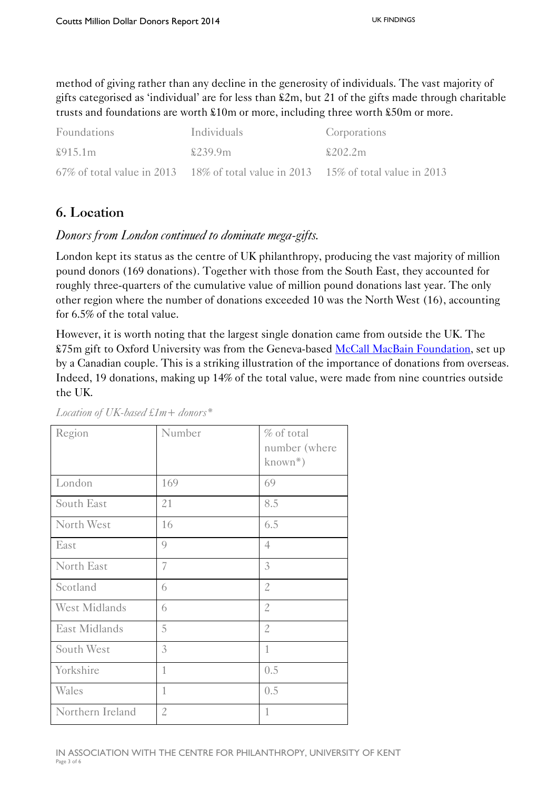method of giving rather than any decline in the generosity of individuals. The vast majority of gifts categorised as 'individual' are for less than £2m, but 21 of the gifts made through charitable trusts and foundations are worth £10m or more, including three worth £50m or more.

| Foundations | Individuals                                                                      | Corporations |
|-------------|----------------------------------------------------------------------------------|--------------|
| \$915.1m    | \$239.9m                                                                         | \$202.2m\$   |
|             | 67% of total value in 2013 18% of total value in 2013 15% of total value in 2013 |              |

# **6. Location**

#### *Donors from London continued to dominate mega-gifts.*

London kept its status as the centre of UK philanthropy, producing the vast majority of million pound donors (169 donations). Together with those from the South East, they accounted for roughly three-quarters of the cumulative value of million pound donations last year. The only other region where the number of donations exceeded 10 was the North West (16), accounting for 6.5% of the total value.

However, it is worth noting that the largest single donation came from outside the UK. The £75m gift to Oxford University was from the Geneva-based [McCall MacBain Foundation,](http://www.mccallmacbain.org/) set up by a Canadian couple. This is a striking illustration of the importance of donations from overseas. Indeed, 19 donations, making up 14% of the total value, were made from nine countries outside the UK.

| Region           | Number         | % of total<br>number (where<br>$known^*)$ |
|------------------|----------------|-------------------------------------------|
| London           | 169            | 69                                        |
| South East       | 21             | 8.5                                       |
| North West       | 16             | 6.5                                       |
| East             | $\mathcal{Q}$  | $\overline{4}$                            |
| North East       | 7              | 3                                         |
| Scotland         | 6              | $\mathbf{2}$                              |
| West Midlands    | 6              | $\mathcal{Z}$                             |
| East Midlands    | 5              | $\mathfrak{2}$                            |
| South West       | 3              | $\mathbf{1}$                              |
| Yorkshire        | $\mathbf{1}$   | 0.5                                       |
| Wales            | 1              | 0.5                                       |
| Northern Ireland | $\mathfrak{2}$ | $\mathbf{1}$                              |

*Location of UK-based £1m+ donors\**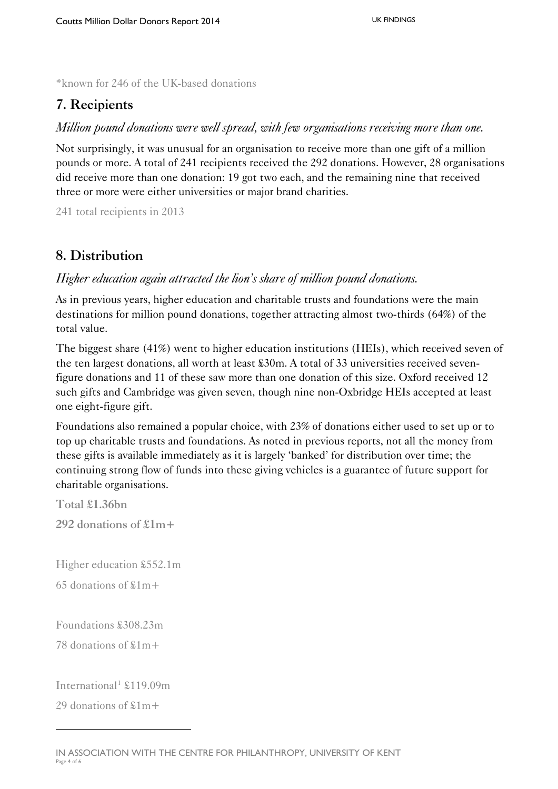\*known for 246 of the UK-based donations

# **7. Recipients**

#### *Million pound donations were well spread, with few organisations receiving more than one.*

Not surprisingly, it was unusual for an organisation to receive more than one gift of a million pounds or more. A total of 241 recipients received the 292 donations. However, 28 organisations did receive more than one donation: 19 got two each, and the remaining nine that received three or more were either universities or major brand charities.

241 total recipients in 2013

#### **8. Distribution**

#### *Higher education again attracted the lion's share of million pound donations.*

As in previous years, higher education and charitable trusts and foundations were the main destinations for million pound donations, together attracting almost two-thirds (64%) of the total value.

The biggest share (41%) went to higher education institutions (HEIs), which received seven of the ten largest donations, all worth at least £30m. A total of 33 universities received sevenfigure donations and 11 of these saw more than one donation of this size. Oxford received 12 such gifts and Cambridge was given seven, though nine non-Oxbridge HEIs accepted at least one eight-figure gift.

Foundations also remained a popular choice, with 23% of donations either used to set up or to top up charitable trusts and foundations. As noted in previous reports, not all the money from these gifts is available immediately as it is largely 'banked' for distribution over time; the continuing strong flow of funds into these giving vehicles is a guarantee of future support for charitable organisations.

**Total £1.36bn 292 donations of £1m+** 

Higher education £552.1m

65 donations of  $$1m+$ 

Foundations £308.23m

78 donations of £1m+

International<sup>[1](#page-3-0)</sup>  $$119.09m$ 

29 donations of  $$1m+$ 

l

<span id="page-3-0"></span>IN ASSOCIATION WITH THE CENTRE FOR PHILANTHROPY, UNIVERSITY OF KENT Page 4 of 6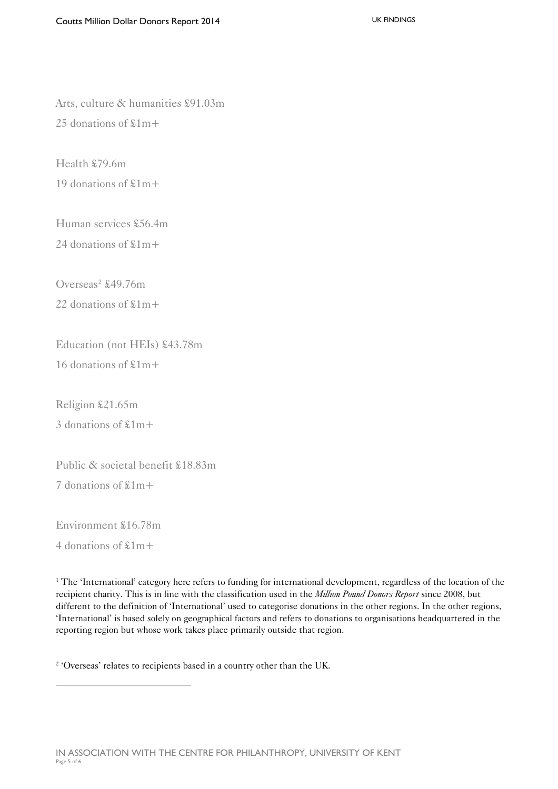Arts, culture & humanities £91.03m 25 donations of £1m+

Health £79.6m 19 donations of £1m+

Human services £56.4m

24 donations of £1m+

Overseas<sup>[2](#page-4-0)</sup>  $$49.76m$ 22 donations of £1m+

Education (not HEIs) £43.78m 16 donations of £1m+

Religion £21.65m 3 donations of £1m+

Public & societal benefit £18.83m

7 donations of £1m+

Environment £16.78m

4 donations of £1m+

<span id="page-4-0"></span>l

<sup>1</sup> The 'International' category here refers to funding for international development, regardless of the location of the recipient charity. This is in line with the classification used in the *Million Pound Donors Report* since 2008, but different to the definition of 'International' used to categorise donations in the other regions. In the other regions, 'International' is based solely on geographical factors and refers to donations to organisations headquartered in the reporting region but whose work takes place primarily outside that region.

<sup>2</sup> 'Overseas' relates to recipients based in a country other than the UK.